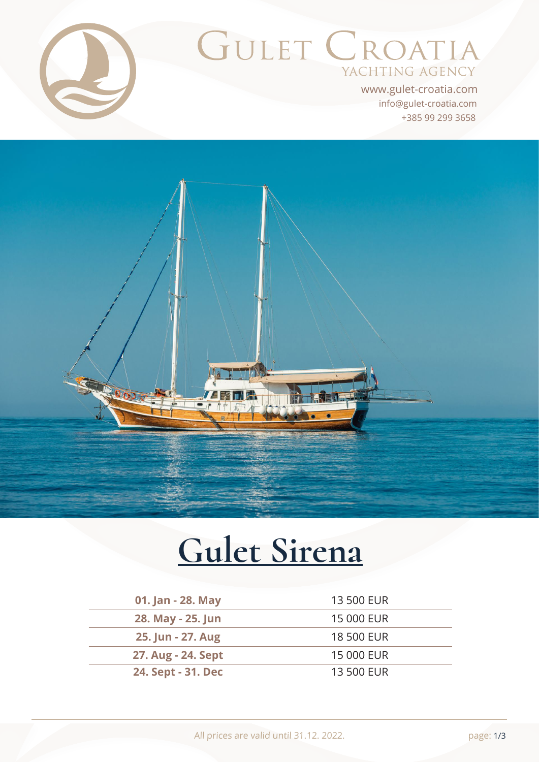

# GULET CROATIA YACHTING AGENCY

+385 99 299 3658 info@gulet-croatia.com www.gulet-croatia.com



# **[Gulet Sirena](https://www.gulet-croatia.com/gulets-cruise-croatia/sy-sirena)**

| 01. Jan - 28. May  | 13 500 EUR |
|--------------------|------------|
| 28. May - 25. Jun  | 15 000 EUR |
| 25. Jun - 27. Aug  | 18 500 EUR |
| 27. Aug - 24. Sept | 15 000 EUR |
| 24. Sept - 31. Dec | 13 500 EUR |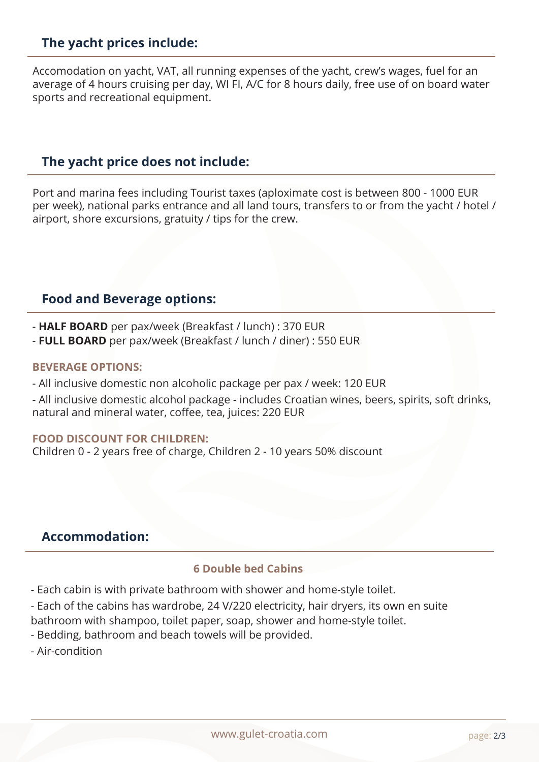# **The yacht prices include:**

Accomodation on yacht, VAT, all running expenses of the yacht, crew's wages, fuel for an average of 4 hours cruising per day, WI FI, A/C for 8 hours daily, free use of on board water sports and recreational equipment.

#### **The yacht price does not include:**

Port and marina fees including Tourist taxes (aploximate cost is between 800 - 1000 EUR per week), national parks entrance and all land tours, transfers to or from the yacht / hotel / airport, shore excursions, gratuity / tips for the crew.

#### **Food and Beverage options:**

- **HALF BOARD** per pax/week (Breakfast / lunch) : 370 EUR

- **FULL BOARD** per pax/week (Breakfast / lunch / diner) : 550 EUR

#### **BEVERAGE OPTIONS:**

- All inclusive domestic non alcoholic package per pax / week: 120 EUR
- All inclusive domestic alcohol package includes Croatian wines, beers, spirits, soft drinks, natural and mineral water, coffee, tea, juices: 220 EUR

#### **FOOD DISCOUNT FOR CHILDREN:**

Children 0 - 2 years free of charge, Children 2 - 10 years 50% discount

# **Accommodation:**

#### **6 Double bed Cabins**

- Each cabin is with private bathroom with shower and home-style toilet.

- Each of the cabins has wardrobe, 24 V/220 electricity, hair dryers, its own en suite

bathroom with shampoo, toilet paper, soap, shower and home-style toilet.

- Bedding, bathroom and beach towels will be provided.
- Air-condition